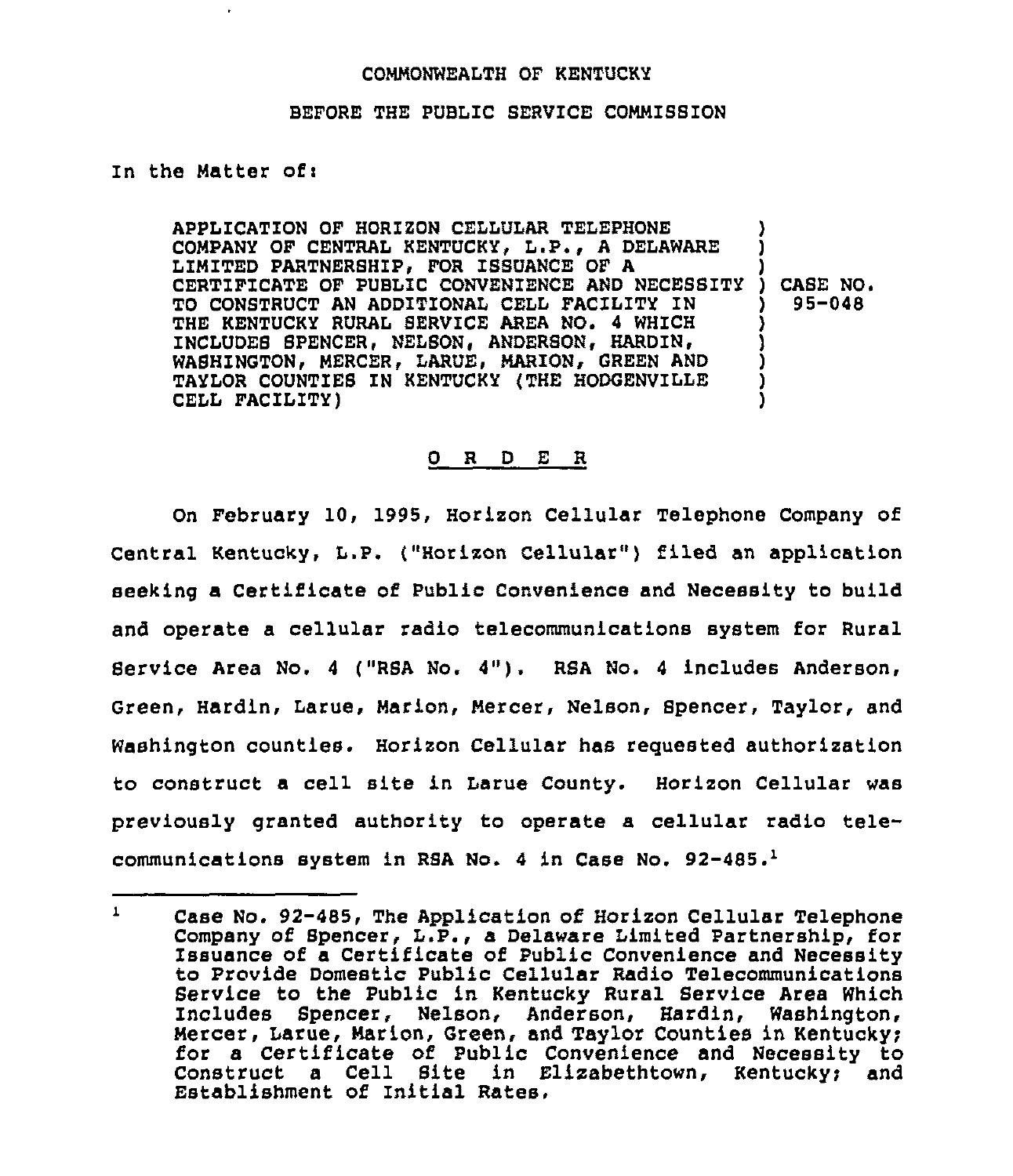## COMMONWEALTH OF KENTUCKY

## BEFORE THE PUBLIC SERVICE COMMISSION

In the Matter of:

APPLICATION OF HORIZON CELLULAR TELEPHONE COMPANY OF CENTRAL KENTUCKY, L.P., A DELAWARE LIMITED PARTNERSHIP, FOR ISSUANCE OF A LIMITED PARTNERBAIP, FOR ISSUANCE OF A<br>CERTIFICATE OF PUBLIC CONVENIENCE AND NECESSITY ) TO CONSTRUCT AN ADDITIONAL CELL FACILITY IN THE KENTUCKY RURAL SERVICE AREA NO. 4 WHICH INCLUDES SPENCER, NELSON, ANDERSON, HARDIN, WASHINGTON, MERCER, LARUE, MARION, GREEN AND TAYLOR COUNTIES IN KENTUCKY (THE HODGENVILLE CELL FACILITY) ) ) ) CABE NO. ) 95-048 ) ) ) ) )

## 0 R <sup>D</sup> E R

On February 10, 1995, Horizon Cellular Telephone Company of Central Kentucky, L.P. ("Horizon Cellular" ) filed an application seeking a Certificate of Public Convenience and Necessity to build and operate a cellular radio telecommunications system for Rural Service Area No. <sup>4</sup> ("RSA No. 4"). RSA No. <sup>4</sup> includes Anderson, Green, Hardin, Larue, Marion, Mercer, Nelson, Spencer, Taylor, and Washington counties. Horizon Cellular has reguested authorization to construct a cell site in Larue County. Horizon Cellular was previously granted authority to operate a cellular radio telecommunications system in RSA No. 4 in Case No.  $92-485.^1$ 

 $\mathbf{1}$ Case No. 92-485, The Application of Horizon Cellular Telephone Company of Spencer, L.P., a Delaware Limited Partnership, for Issuance of a Certificate of Public Convenience and Necessity to Provide Domestic Public Cellular Radio Telecommunications Service to the Public in Kentucky Rural Service Area Which Includes Spencer, Nelson, Anderson, Hardin, Washington, Mercer, Larue, Marion, Green, and Taylor Counties in Kentucky; for a Certificate of Public Convenience and Necessity to Construct a Cell Site in  $E1$ izabethtown, Kentucky; and Establishment of Initial Rates.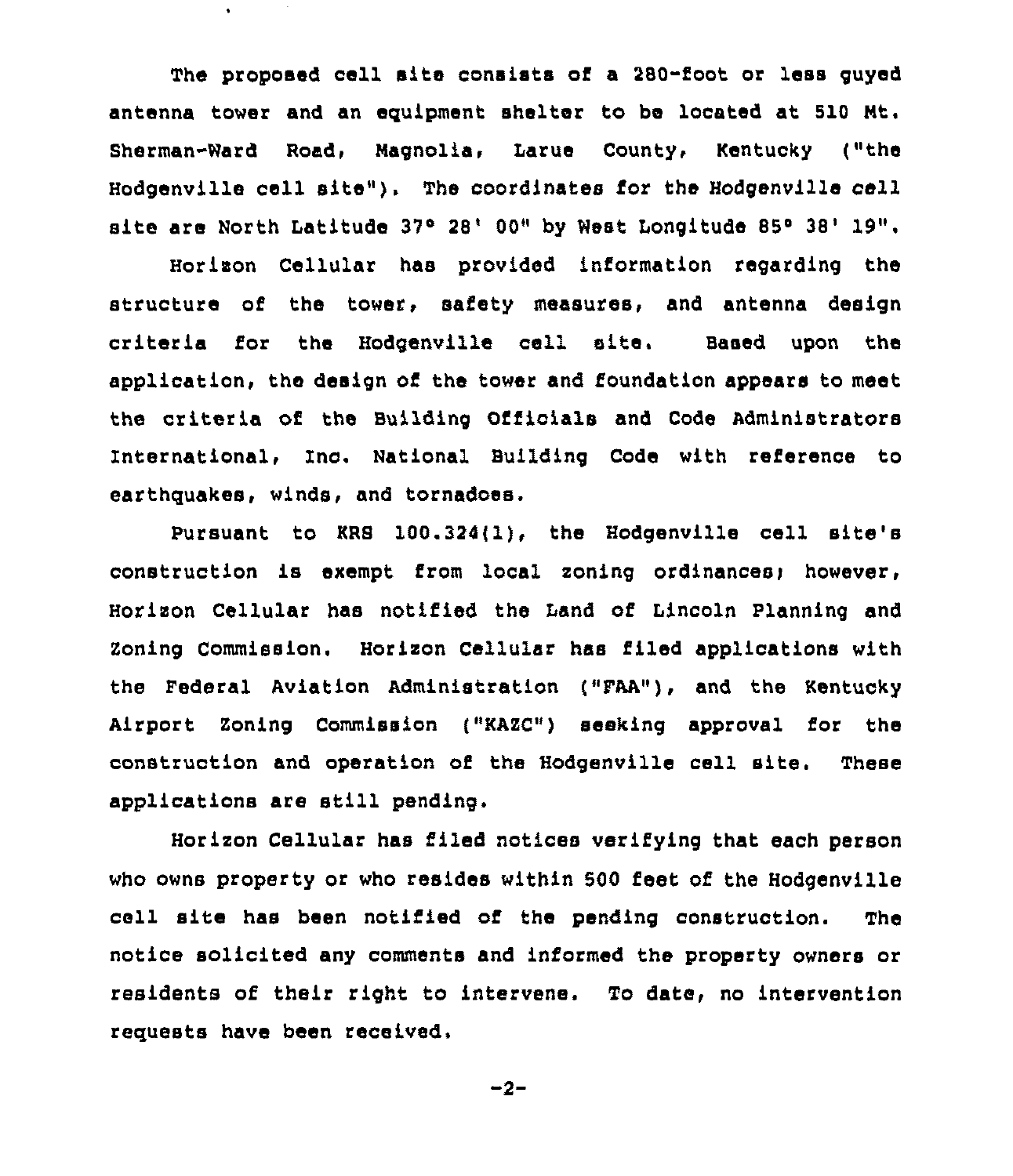The proposed cell site consists of a 280-foot or less guyed antenna tower and an equipment shelter to be located at 510 Nt. Sherman-Nard Road, Magnolia, Larue County, Kentucky ("the Hodgenville cell sits"). The coordinates for the Hodgenville cell site are North Latitude 37° 28' 00" by West Longitude 85° 38' 19".

 $\bullet$ 

Horizon Cellular has provided information regarding the structure of the tower, safety measures, and antenna design criteria for the Hodgenville cell site. Based upon the application, the design of the tower and foundation appears to meet the criteria of the Building Officials and Code Administrators International, Inc. National Building Code with reference to earthquakes, winds, and tornadoes.

Pursuant to KRS 100.324(l), the Hodgenville cell site's construction is exempt from local zoning ordinancesi however, Horizon Cellular has notified the Land of Lincoln Planning and Zoning Commission. Horizon Cellular has filed applications with the Federal Aviation Administration ("FAA"), and the Kentucky Airport zoning commission ("KAzc") seeking approval for the construction and operation of the Hodgenville cell site. These applications are still pending,

Horizon Cellular has filed notices verifying that each person who owns property or who resides within 500 feet of the Hodgenville cell site has been notified of the pending construction. The notice solicited any comments and informed the property owners or residents of their right to intervene. To date, no intervention requests have been received.

 $-2-$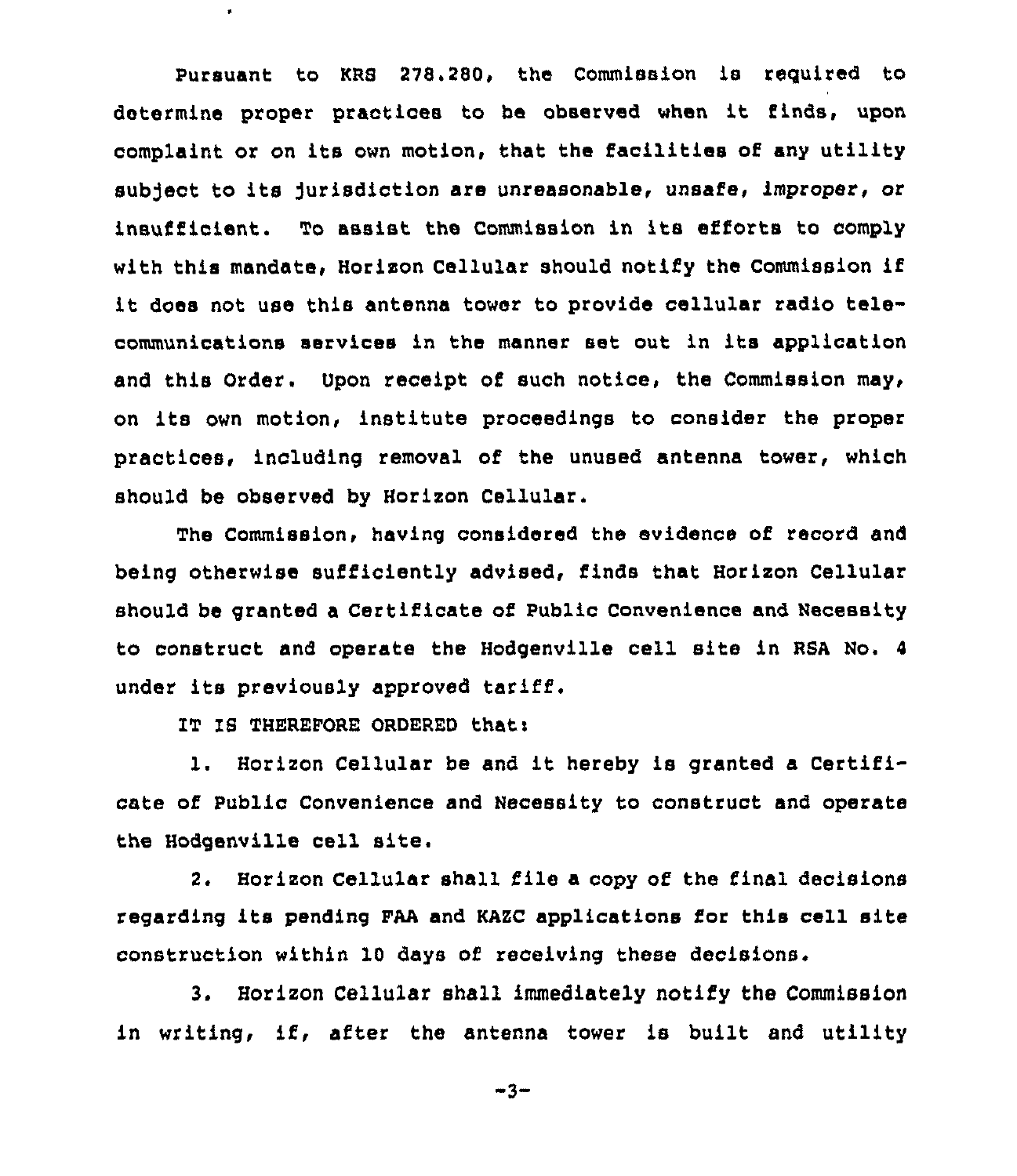Pursuant to KRS 278.280, the Commission is required to determine proper practices to be observed when it finds, upon complaint or on its own motion, that the facilities of any utility subject to its jurisdiction are unreasonable, unsafe, improper, or insufficient. To assist the Commission in its efforts to comply with this mandate, Horizon Cellular should notify the Commission if it does not use this antenna tower to provide cellular radio telecommunications services in the manner set out in its application and this Order, Upon receipt of such notice, the Commission may, on its own motion, institute proceedings to consider the proper practices, including removal of the unused antenna tower, which should be observed by Horizon Cellular.

The Commission, having considered the evidence of record and being otherwise sufficiently advised, finds that Horizon Cellular should be granted a Certificate of Public Convenience and Necessity to construct and operate the Hodgenville cell site in RSA No. <sup>4</sup> under its previously approved tariff.

IT IS THEREFORE ORDERED that:

 $\bullet$ 

l. Horizon Cellular be and it hereby is granted <sup>a</sup> Certificate of Public Convenience and Necessity to construct and operate the Hodgenville cell site.

2. Horizon Cellular shall file a copy of the final decisions regarding its pending FAA and KAZC applications for this cell site construction within 10 days of receiving these decisions.

3. Horizon Cellular shall immediately notify the Commission in writing, if, after the antenna tower is built and utility

 $-3-$